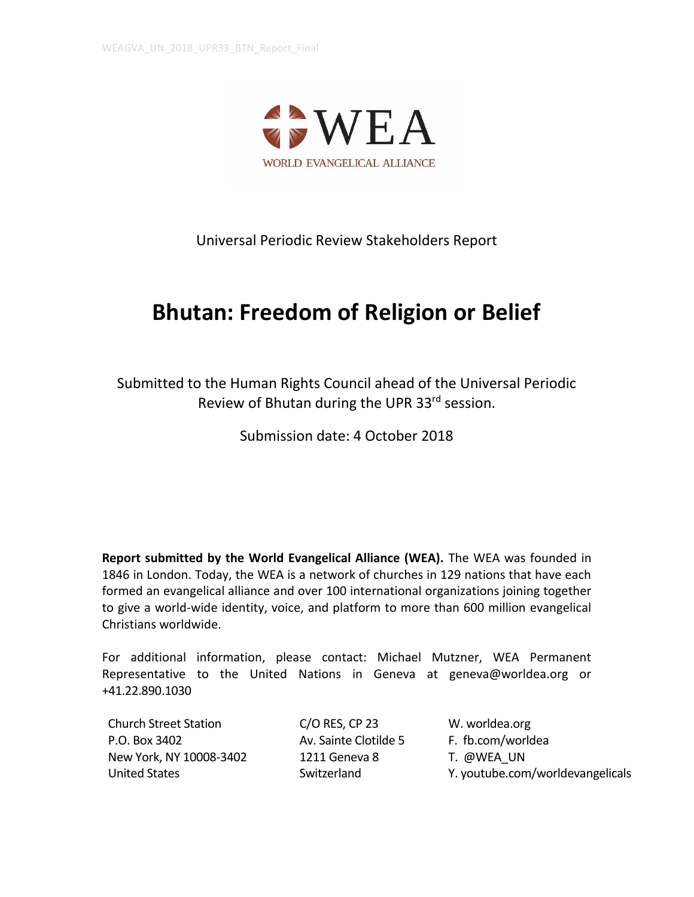

Universal Periodic Review Stakeholders Report

# **Bhutan: Freedom of Religion or Belief**

Submitted to the Human Rights Council ahead of the Universal Periodic Review of Bhutan during the UPR 33<sup>rd</sup> session.

Submission date: 4 October 2018

**Report submitted by the World Evangelical Alliance (WEA).** The WEA was founded in 1846 in London. Today, the WEA is a network of churches in 129 nations that have each formed an evangelical alliance and over 100 international organizations joining together to give a world-wide identity, voice, and platform to more than 600 million evangelical Christians worldwide.

For additional information, please contact: Michael Mutzner, WEA Permanent Representative to the United Nations in Geneva at geneva@worldea.org or +41.22.890.1030

Church Street Station P.O. Box 3402 New York, NY 10008-3402 United States

C/O RES, CP 23 Av. Sainte Clotilde 5 1211 Geneva 8 Switzerland

W. worldea.org F. fb.com/worldea T. @WEA\_UN Y. youtube.com/worldevangelicals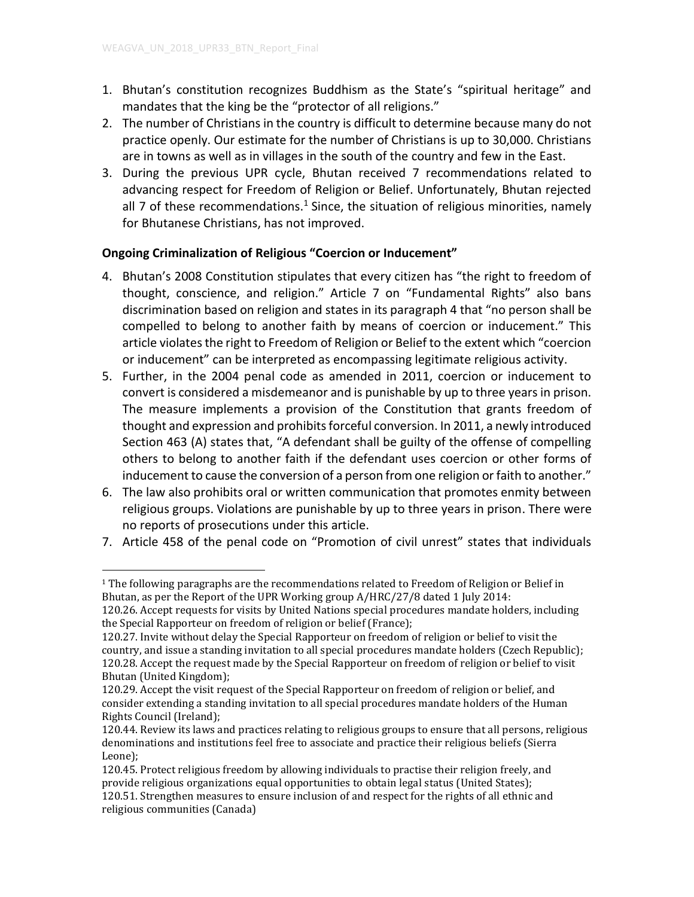- 1. Bhutan's constitution recognizes Buddhism as the State's "spiritual heritage" and mandates that the king be the "protector of all religions."
- 2. The number of Christians in the country is difficult to determine because many do not practice openly. Our estimate for the number of Christians is up to 30,000. Christians are in towns as well as in villages in the south of the country and few in the East.
- 3. During the previous UPR cycle, Bhutan received 7 recommendations related to advancing respect for Freedom of Religion or Belief. Unfortunately, Bhutan rejected all 7 of these recommendations.<sup>1</sup> Since, the situation of religious minorities, namely for Bhutanese Christians, has not improved.

# **Ongoing Criminalization of Religious "Coercion or Inducement"**

- 4. Bhutan's 2008 Constitution stipulates that every citizen has "the right to freedom of thought, conscience, and religion." Article 7 on "Fundamental Rights" also bans discrimination based on religion and states in its paragraph 4 that "no person shall be compelled to belong to another faith by means of coercion or inducement." This article violates the right to Freedom of Religion or Belief to the extent which "coercion or inducement" can be interpreted as encompassing legitimate religious activity.
- 5. Further, in the 2004 penal code as amended in 2011, coercion or inducement to convert is considered a misdemeanor and is punishable by up to three years in prison. The measure implements a provision of the Constitution that grants freedom of thought and expression and prohibits forceful conversion. In 2011, a newly introduced Section 463 (A) states that, "A defendant shall be guilty of the offense of compelling others to belong to another faith if the defendant uses coercion or other forms of inducement to cause the conversion of a person from one religion or faith to another."
- 6. The law also prohibits oral or written communication that promotes enmity between religious groups. Violations are punishable by up to three years in prison. There were no reports of prosecutions under this article.
- 7. Article 458 of the penal code on "Promotion of civil unrest" states that individuals

 $\overline{a}$  $1$  The following paragraphs are the recommendations related to Freedom of Religion or Belief in Bhutan, as per the Report of the UPR Working group A/HRC/27/8 dated 1 July 2014:

<sup>120.26.</sup> Accept requests for visits by United Nations special procedures mandate holders, including the Special Rapporteur on freedom of religion or belief (France);

<sup>120.27.</sup> Invite without delay the Special Rapporteur on freedom of religion or belief to visit the country, and issue a standing invitation to all special procedures mandate holders (Czech Republic); 120.28. Accept the request made by the Special Rapporteur on freedom of religion or belief to visit Bhutan (United Kingdom);

<sup>120.29.</sup> Accept the visit request of the Special Rapporteur on freedom of religion or belief, and consider extending a standing invitation to all special procedures mandate holders of the Human Rights Council (Ireland);

<sup>120.44.</sup> Review its laws and practices relating to religious groups to ensure that all persons, religious denominations and institutions feel free to associate and practice their religious beliefs (Sierra Leone);

<sup>120.45.</sup> Protect religious freedom by allowing individuals to practise their religion freely, and provide religious organizations equal opportunities to obtain legal status (United States); 120.51. Strengthen measures to ensure inclusion of and respect for the rights of all ethnic and religious communities (Canada)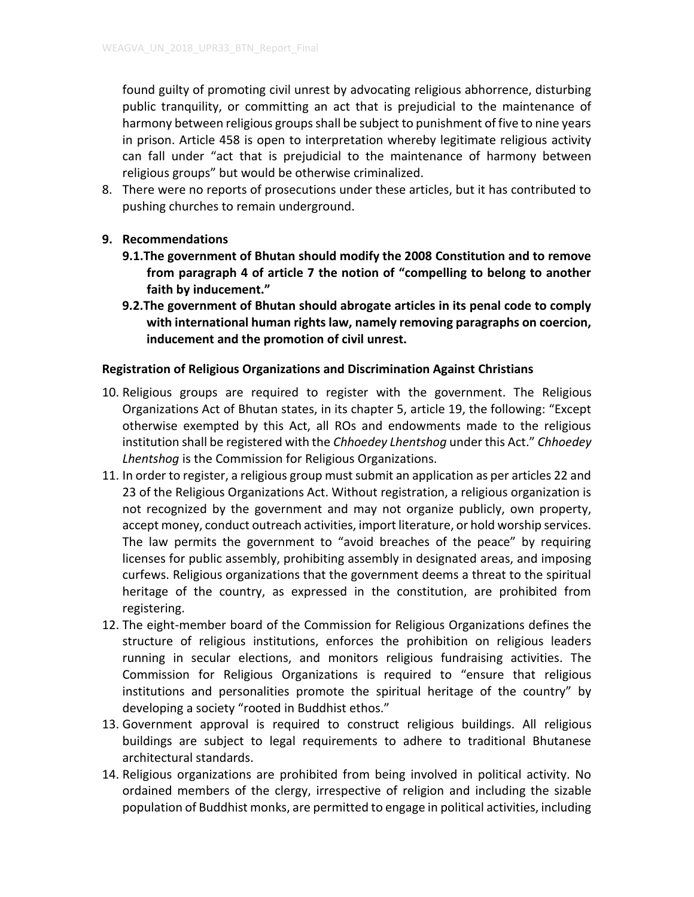found guilty of promoting civil unrest by advocating religious abhorrence, disturbing public tranquility, or committing an act that is prejudicial to the maintenance of harmony between religious groups shall be subject to punishment of five to nine years in prison. Article 458 is open to interpretation whereby legitimate religious activity can fall under "act that is prejudicial to the maintenance of harmony between religious groups" but would be otherwise criminalized.

8. There were no reports of prosecutions under these articles, but it has contributed to pushing churches to remain underground.

# **9. Recommendations**

- **9.1.The government of Bhutan should modify the 2008 Constitution and to remove from paragraph 4 of article 7 the notion of "compelling to belong to another faith by inducement."**
- **9.2.The government of Bhutan should abrogate articles in its penal code to comply with international human rights law, namely removing paragraphs on coercion, inducement and the promotion of civil unrest.**

### **Registration of Religious Organizations and Discrimination Against Christians**

- 10. Religious groups are required to register with the government. The Religious Organizations Act of Bhutan states, in its chapter 5, article 19, the following: "Except otherwise exempted by this Act, all ROs and endowments made to the religious institution shall be registered with the *Chhoedey Lhentshog* under this Act." *Chhoedey Lhentshog* is the Commission for Religious Organizations.
- 11. In order to register, a religious group must submit an application as per articles 22 and 23 of the Religious Organizations Act. Without registration, a religious organization is not recognized by the government and may not organize publicly, own property, accept money, conduct outreach activities, import literature, or hold worship services. The law permits the government to "avoid breaches of the peace" by requiring licenses for public assembly, prohibiting assembly in designated areas, and imposing curfews. Religious organizations that the government deems a threat to the spiritual heritage of the country, as expressed in the constitution, are prohibited from registering.
- 12. The eight-member board of the Commission for Religious Organizations defines the structure of religious institutions, enforces the prohibition on religious leaders running in secular elections, and monitors religious fundraising activities. The Commission for Religious Organizations is required to "ensure that religious institutions and personalities promote the spiritual heritage of the country" by developing a society "rooted in Buddhist ethos."
- 13. Government approval is required to construct religious buildings. All religious buildings are subject to legal requirements to adhere to traditional Bhutanese architectural standards.
- 14. Religious organizations are prohibited from being involved in political activity. No ordained members of the clergy, irrespective of religion and including the sizable population of Buddhist monks, are permitted to engage in political activities, including